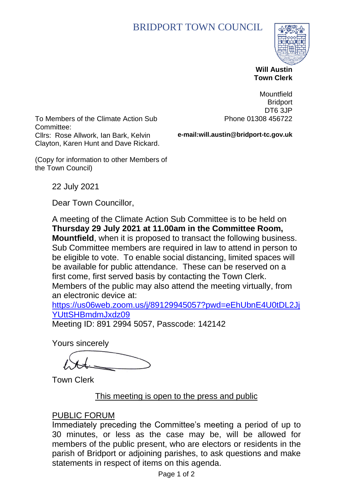## BRIDPORT TOWN COUNCIL



 **Will Austin Town Clerk**

To Members of the Climate Action Sub Committee: Cllrs: Rose Allwork, Ian Bark, Kelvin Clayton, Karen Hunt and Dave Rickard.

Mountfield **Bridport** DT6 3JP Phone 01308 456722

**e-mail:will.austin@bridport-tc.gov.uk**

(Copy for information to other Members of the Town Council)

22 July 2021

Dear Town Councillor,

A meeting of the Climate Action Sub Committee is to be held on **Thursday 29 July 2021 at 11.00am in the Committee Room, Mountfield**, when it is proposed to transact the following business. Sub Committee members are required in law to attend in person to be eligible to vote. To enable social distancing, limited spaces will be available for public attendance. These can be reserved on a first come, first served basis by contacting the Town Clerk. Members of the public may also attend the meeting virtually, from an electronic device at:

[https://us06web.zoom.us/j/89129945057?pwd=eEhUbnE4U0tDL2Jj](https://us06web.zoom.us/j/89129945057?pwd=eEhUbnE4U0tDL2JjYUttSHBmdmJxdz09) [YUttSHBmdmJxdz09](https://us06web.zoom.us/j/89129945057?pwd=eEhUbnE4U0tDL2JjYUttSHBmdmJxdz09)

Meeting ID: 891 2994 5057, Passcode: 142142

Yours sincerely

Town Clerk

#### This meeting is open to the press and public

#### PUBLIC FORUM

Immediately preceding the Committee's meeting a period of up to 30 minutes, or less as the case may be, will be allowed for members of the public present, who are electors or residents in the parish of Bridport or adjoining parishes, to ask questions and make statements in respect of items on this agenda.